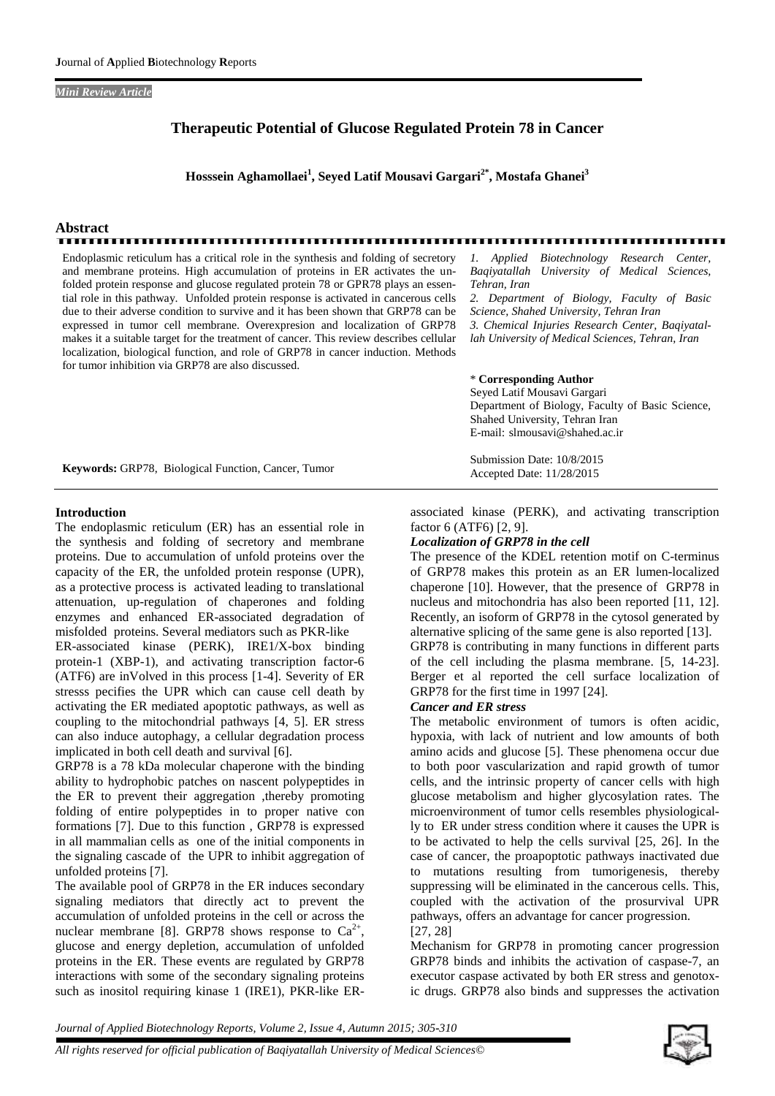#### *Mini Review Article*

## **Therapeutic Potential of Glucose Regulated Protein 78 in Cancer**

**Hosssein Aghamollaei<sup>1</sup> , Seyed Latif Mousavi Gargari2\* , Mostafa Ghanei<sup>3</sup>**

# **Abstract**

<u>നാവാസനായനായനായ</u>

Endoplasmic reticulum has a critical role in the synthesis and folding of secretory  $1.$  Applied and membrane proteins. High accumulation of proteins in ER activates the unfolded protein response and glucose regulated protein 78 or GPR78 plays an essential role in this pathway. Unfolded protein response is activated in cancerous cells due to their adverse condition to survive and it has been shown that GRP78 can be expressed in tumor cell membrane. Overexpresion and localization of GRP78 makes it a suitable target for the treatment of cancer. This review describes cellular localization, biological function, and role of GRP78 in cancer induction. Methods for tumor inhibition via GRP78 are also discussed.

*1. Applied Biotechnology Research Center, Baqiyatallah University of Medical Sciences, Tehran, Iran*

*2. Department of Biology, Faculty of Basic Science, Shahed University, Tehran Iran*

*3. Chemical Injuries Research Center, Baqiyatallah University of Medical Sciences, Tehran, Iran*

### \* **Corresponding Author**

Submission Date: 10/8/2015 Accepted Date: 11/28/2015

Seyed Latif Mousavi Gargari Department of Biology, Faculty of Basic Science, Shahed University, Tehran Iran E-mail: slmousavi@shahed.ac.ir

**Keywords:** GRP78, Biological Function, Cancer, Tumor

#### **Introduction**

The endoplasmic reticulum (ER) has an essential role in the synthesis and folding of secretory and membrane proteins. Due to accumulation of unfold proteins over the capacity of the ER, the unfolded protein response (UPR), as a protective process is activated leading to translational attenuation, up-regulation of chaperones and folding enzymes and enhanced ER-associated degradation of misfolded proteins. Several mediators such as PKR-like ER-associated kinase (PERK), IRE1/X-box binding protein-1 (XBP-1), and activating transcription factor-6 (ATF6) are inVolved in this process [1-4]. Severity of ER stresss pecifies the UPR which can cause cell death by

activating the ER mediated apoptotic pathways, as well as coupling to the mitochondrial pathways [4, 5]. ER stress can also induce autophagy, a cellular degradation process implicated in both cell death and survival [6].

GRP78 is a 78 kDa molecular chaperone with the binding ability to hydrophobic patches on nascent polypeptides in the ER to prevent their aggregation ,thereby promoting folding of entire polypeptides in to proper native con formations [7]. Due to this function , GRP78 is expressed in all mammalian cells as one of the initial components in the signaling cascade of the UPR to inhibit aggregation of unfolded proteins [7].

The available pool of GRP78 in the ER induces secondary signaling mediators that directly act to prevent the accumulation of unfolded proteins in the cell or across the nuclear membrane [8]. GRP78 shows response to  $Ca^{2+}$ , glucose and energy depletion, accumulation of unfolded proteins in the ER. These events are regulated by GRP78 interactions with some of the secondary signaling proteins such as inositol requiring kinase 1 (IRE1), PKR-like ER-

associated kinase (PERK), and activating transcription factor 6 (ATF6) [2, 9].

## *Localization of GRP78 in the cell*

The presence of the KDEL retention motif on C-terminus of GRP78 makes this protein as an ER lumen-localized chaperone [10]. However, that the presence of GRP78 in nucleus and mitochondria has also been reported [11, 12]. Recently, an isoform of GRP78 in the cytosol generated by alternative splicing of the same gene is also reported [13].

GRP78 is contributing in many functions in different parts of the cell including the plasma membrane. [5, 14-23]. Berger et al reported the cell surface localization of GRP78 for the first time in 1997 [24].

## *Cancer and ER stress*

The metabolic environment of tumors is often acidic, hypoxia, with lack of nutrient and low amounts of both amino acids and glucose [5]. These phenomena occur due to both poor vascularization and rapid growth of tumor cells, and the intrinsic property of cancer cells with high glucose metabolism and higher glycosylation rates. The microenvironment of tumor cells resembles physiologically to ER under stress condition where it causes the UPR is to be activated to help the cells survival [25, 26]. In the case of cancer, the proapoptotic pathways inactivated due to mutations resulting from tumorigenesis, thereby suppressing will be eliminated in the cancerous cells. This, coupled with the activation of the prosurvival UPR pathways, offers an advantage for cancer progression. [27, 28]

Mechanism for GRP78 in promoting cancer progression GRP78 binds and inhibits the activation of caspase-7, an executor caspase activated by both ER stress and genotoxic drugs. GRP78 also binds and suppresses the activation

*Journal of Applied Biotechnology Reports, Volume 2, Issue 4, Autumn 2015; 305-310*

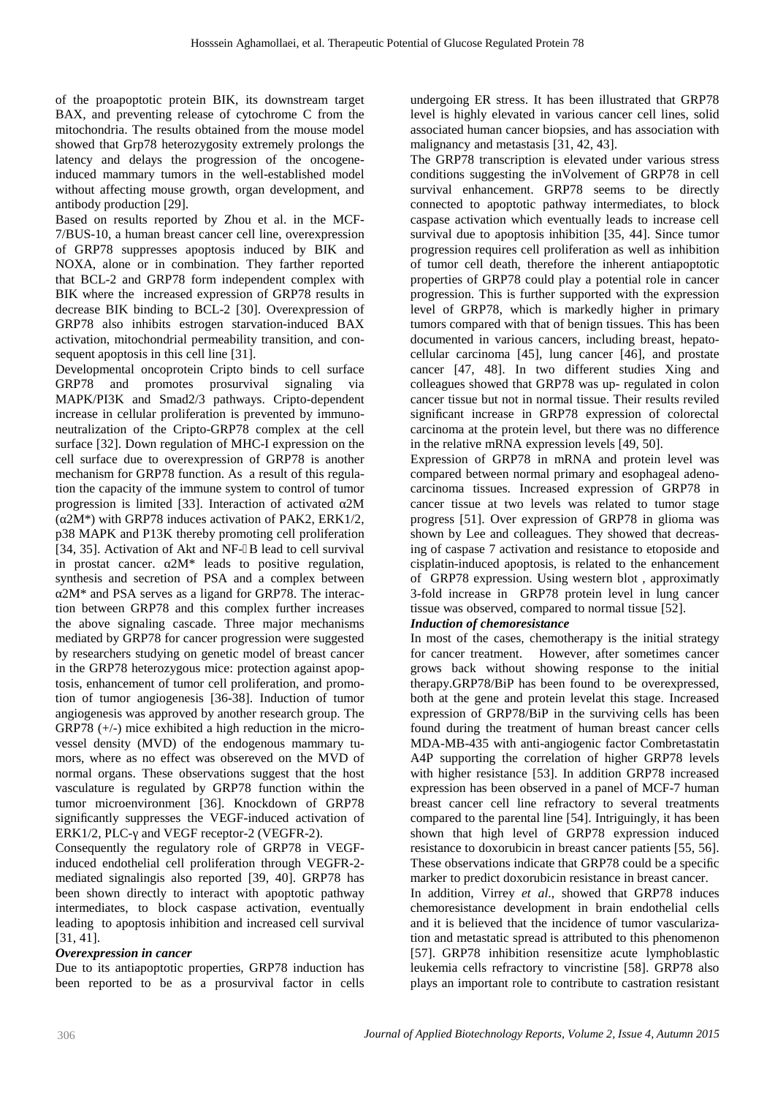of the proapoptotic protein BIK, its downstream target BAX, and preventing release of cytochrome C from the mitochondria. The results obtained from the mouse model showed that Grp78 heterozygosity extremely prolongs the latency and delays the progression of the oncogeneinduced mammary tumors in the well-established model without affecting mouse growth, organ development, and antibody production [29].

Based on results reported by Zhou et al. in the MCF- 7/BUS-10, a human breast cancer cell line, overexpression of GRP78 suppresses apoptosis induced by BIK and NOXA, alone or in combination. They farther reported that BCL-2 and GRP78 form independent complex with BIK where the increased expression of GRP78 results in decrease BIK binding to BCL-2 [30]. Overexpression of GRP78 also inhibits estrogen starvation-induced BAX activation, mitochondrial permeability transition, and consequent apoptosis in this cell line [31].

Developmental oncoprotein Cripto binds to cell surface GRP78 and promotes prosurvival signaling via MAPK/PI3K and Smad2/3 pathways. Cripto-dependent increase in cellular proliferation is prevented by immunoneutralization of the Cripto-GRP78 complex at the cell surface [32]. Down regulation of MHC-I expression on the cell surface due to overexpression of GRP78 is another mechanism for GRP78 function. As a result of this regulation the capacity of the immune system to control of tumor progression is limited [33]. Interaction of activated 2M (2M\*) with GRP78 induces activation of PAK2, ERK1/2, p38 MAPK and P13K thereby promoting cell proliferation [34, 35]. Activation of Akt and NF-B lead to cell survival in prostat cancer.  $2M^*$  leads to positive regulation, synthesis and secretion of PSA and a complex between

 $2M^*$  and PSA serves as a ligand for GRP78. The interaction between GRP78 and this complex further increases the above signaling cascade. Three major mechanisms mediated by GRP78 for cancer progression were suggested by researchers studying on genetic model of breast cancer in the GRP78 heterozygous mice: protection against apoptosis, enhancement of tumor cell proliferation, and promotion of tumor angiogenesis [36-38]. Induction of tumor angiogenesis was approved by another research group. The GRP78 (+/-) mice exhibited a high reduction in the microvessel density (MVD) of the endogenous mammary tumors, where as no effect was obsereved on the MVD of normal organs. These observations suggest that the host vasculature is regulated by GRP78 function within the tumor microenvironment [36]. Knockdown of GRP78 significantly suppresses the VEGF-induced activation of ERK1/2, PLC- and VEGF receptor-2 (VEGFR-2).

Consequently the regulatory role of GRP78 in VEGFinduced endothelial cell proliferation through VEGFR-2 mediated signalingis also reported [39, 40]. GRP78 has been shown directly to interact with apoptotic pathway intermediates, to block caspase activation, eventually leading to apoptosis inhibition and increased cell survival [31, 41].

## *Overexpression in cancer*

Due to its antiapoptotic properties, GRP78 induction has been reported to be as a prosurvival factor in cells

undergoing ER stress. It has been illustrated that GRP78 level is highly elevated in various cancer cell lines, solid associated human cancer biopsies, and has association with malignancy and metastasis [31, 42, 43].

The GRP78 transcription is elevated under various stress conditions suggesting the inVolvement of GRP78 in cell survival enhancement. GRP78 seems to be directly connected to apoptotic pathway intermediates, to block caspase activation which eventually leads to increase cell survival due to apoptosis inhibition [35, 44]. Since tumor progression requires cell proliferation as well as inhibition of tumor cell death, therefore the inherent antiapoptotic properties of GRP78 could play a potential role in cancer progression. This is further supported with the expression level of GRP78, which is markedly higher in primary tumors compared with that of benign tissues. This has been documented in various cancers, including breast, hepatocellular carcinoma [45], lung cancer [46], and prostate cancer [47, 48]. In two different studies Xing and colleagues showed that GRP78 was up- regulated in colon cancer tissue but not in normal tissue. Their results reviled significant increase in GRP78 expression of colorectal carcinoma at the protein level, but there was no difference in the relative mRNA expression levels [49, 50].

Expression of GRP78 in mRNA and protein level was compared between normal primary and esophageal adenocarcinoma tissues. Increased expression of GRP78 in cancer tissue at two levels was related to tumor stage progress [51]. Over expression of GRP78 in glioma was shown by Lee and colleagues. They showed that decreasing of caspase 7 activation and resistance to etoposide and cisplatin-induced apoptosis, is related to the enhancement of GRP78 expression. Using western blot , approximatly 3-fold increase in GRP78 protein level in lung cancer tissue was observed, compared to normal tissue [52].

## *Induction of chemoresistance*

In most of the cases, chemotherapy is the initial strategy for cancer treatment. However, after sometimes cancer grows back without showing response to the initial therapy.GRP78/BiP has been found to be overexpressed, both at the gene and protein levelat this stage. Increased expression of GRP78/BiP in the surviving cells has been found during the treatment of human breast cancer cells MDA-MB-435 with anti-angiogenic factor Combretastatin A4P supporting the correlation of higher GRP78 levels with higher resistance [53]. In addition GRP78 increased expression has been observed in a panel of MCF-7 human breast cancer cell line refractory to several treatments compared to the parental line [54]. Intriguingly, it has been shown that high level of GRP78 expression induced resistance to doxorubicin in breast cancer patients [55, 56]. These observations indicate that GRP78 could be a specific marker to predict doxorubicin resistance in breast cancer.

In addition, Virrey *et al*., showed that GRP78 induces chemoresistance development in brain endothelial cells and it is believed that the incidence of tumor vascularization and metastatic spread is attributed to this phenomenon [57]. GRP78 inhibition resensitize acute lymphoblastic leukemia cells refractory to vincristine [58]. GRP78 also plays an important role to contribute to castration resistant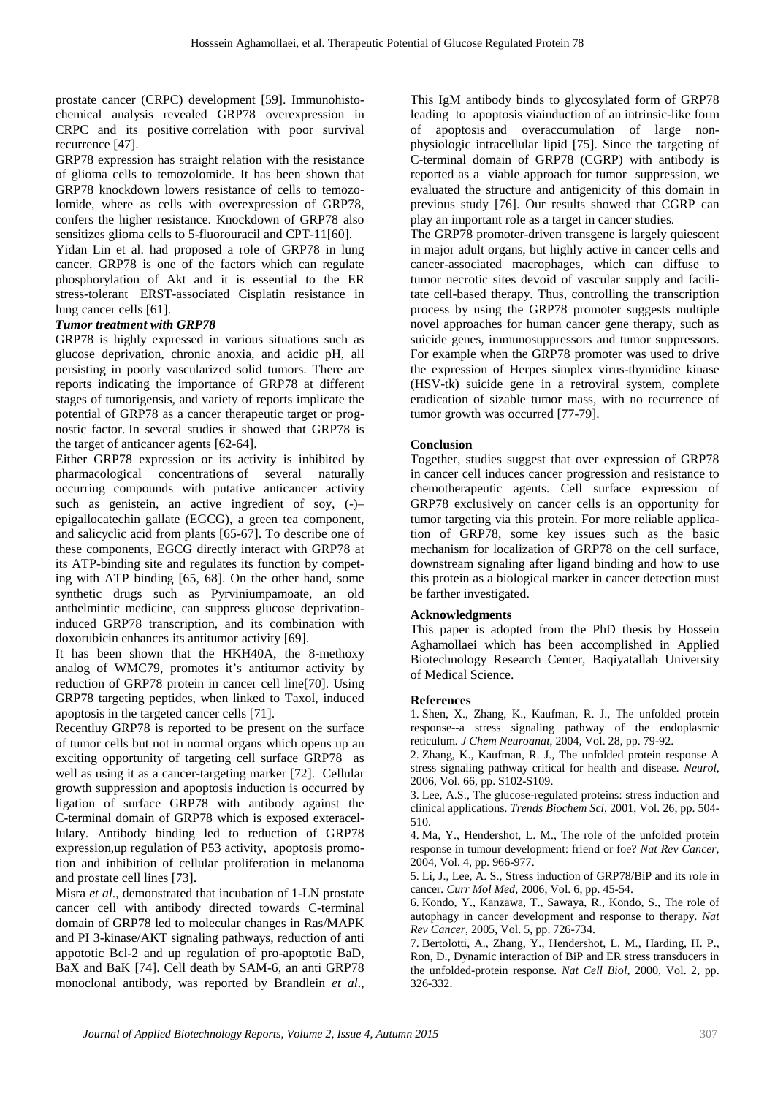prostate cancer (CRPC) development [59]. Immunohistochemical analysis revealed GRP78 overexpression in CRPC and its positive correlation with poor survival recurrence [47].

GRP78 expression has straight relation with the resistance of glioma cells to temozolomide. It has been shown that GRP78 knockdown lowers resistance of cells to temozolomide, where as cells with overexpression of GRP78, confers the higher resistance. Knockdown of GRP78 also sensitizes glioma cells to 5-fluorouracil and CPT-11[60].

Yidan Lin et al. had proposed a role of GRP78 in lung cancer. GRP78 is one of the factors which can regulate phosphorylation of Akt and it is essential to the ER stress-tolerant ERST-associated Cisplatin resistance in lung cancer cells [61].

## *Tumor treatment with GRP78*

GRP78 is highly expressed in various situations such as glucose deprivation, chronic anoxia, and acidic pH, all persisting in poorly vascularized solid tumors. There are reports indicating the importance of GRP78 at different stages of tumorigensis, and variety of reports implicate the potential of GRP78 as a cancer therapeutic target or prognostic factor. In several studies it showed that GRP78 is the target of anticancer agents [62-64].

Either GRP78 expression or its activity is inhibited by pharmacological concentrations of several naturally occurring compounds with putative anticancer activity such as genistein, an active ingredient of soy, (-)– epigallocatechin gallate (EGCG), a green tea component, and salicyclic acid from plants [65-67]. To describe one of these components, EGCG directly interact with GRP78 at its ATP-binding site and regulates its function by competing with ATP binding [65, 68]. On the other hand, some synthetic drugs such as Pyrviniumpamoate, an old anthelmintic medicine, can suppress glucose deprivationinduced GRP78 transcription, and its combination with doxorubicin enhances its antitumor activity [69].

It has been shown that the HKH40A, the 8-methoxy analog of WMC79, promotes it's antitumor activity by reduction of GRP78 protein in cancer cell line[70]. Using GRP78 targeting peptides, when linked to Taxol, induced apoptosis in the targeted cancer cells [71].

Recentluy GRP78 is reported to be present on the surface of tumor cells but not in normal organs which opens up an exciting opportunity of targeting cell surface GRP78 as well as using it as a cancer-targeting marker [72]. Cellular growth suppression and apoptosis induction is occurred by ligation of surface GRP78 with antibody against the C-terminal domain of GRP78 which is exposed exteracellulary. Antibody binding led to reduction of GRP78 expression,up regulation of P53 activity, apoptosis promotion and inhibition of cellular proliferation in melanoma and prostate cell lines [73].

Misra *et al*., demonstrated that incubation of 1-LN prostate cancer cell with antibody directed towards C-terminal domain of GRP78 led to molecular changes in Ras/MAPK and PI 3-kinase/AKT signaling pathways, reduction of anti appototic Bcl-2 and up regulation of pro-apoptotic BaD, BaX and BaK [74]. Cell death by SAM-6, an anti GRP78 monoclonal antibody, was reported by Brandlein *et al*.,

This IgM antibody binds to glycosylated form of GRP78 leading to apoptosis viainduction of an intrinsic-like form of apoptosis and overaccumulation of large non physiologic intracellular lipid [75]. Since the targeting of C-terminal domain of GRP78 (CGRP) with antibody is reported as a viable approach for tumor suppression, we evaluated the structure and antigenicity of this domain in previous study [76]. Our results showed that CGRP can play an important role as a target in cancer studies.

The GRP78 promoter-driven transgene is largely quiescent in major adult organs, but highly active in cancer cells and cancer-associated macrophages, which can diffuse to tumor necrotic sites devoid of vascular supply and facilitate cell-based therapy. Thus, controlling the transcription process by using the GRP78 promoter suggests multiple novel approaches for human cancer gene therapy, such as suicide genes, immunosuppressors and tumor suppressors. For example when the GRP78 promoter was used to drive the expression of Herpes simplex virus-thymidine kinase (HSV-tk) suicide gene in a retroviral system, complete eradication of sizable tumor mass, with no recurrence of tumor growth was occurred [77-79].

## **Conclusion**

Together, studies suggest that over expression of GRP78 in cancer cell induces cancer progression and resistance to chemotherapeutic agents. Cell surface expression of GRP78 exclusively on cancer cells is an opportunity for tumor targeting via this protein. For more reliable application of GRP78, some key issues such as the basic mechanism for localization of GRP78 on the cell surface, downstream signaling after ligand binding and how to use this protein as a biological marker in cancer detection must be farther investigated.

#### **Acknowledgments**

This paper is adopted from the PhD thesis by Hossein Aghamollaei which has been accomplished in Applied Biotechnology Research Center, Baqiyatallah University of Medical Science.

#### **References**

1. Shen, X., Zhang, K., Kaufman, R. J., The unfolded protein response--a stress signaling pathway of the endoplasmic reticulum*. J Chem Neuroanat*, 2004, Vol. 28, pp. 79-92.

2. Zhang, K., Kaufman, R. J., The unfolded protein response A stress signaling pathway critical for health and disease*. Neurol*, 2006, Vol. 66, pp. S102-S109.

3. Lee, A.S., The glucose-regulated proteins: stress induction and clinical applications*. Trends Biochem Sci*, 2001, Vol. 26, pp. 504- 510.

4. Ma, Y., Hendershot, L. M., The role of the unfolded protein response in tumour development: friend or foe? *Nat Rev Cancer*, 2004, Vol. 4, pp. 966-977.

5. Li, J., Lee, A. S., Stress induction of GRP78/BiP and its role in cancer*. Curr Mol Med*, 2006, Vol. 6, pp. 45-54.

6. Kondo, Y., Kanzawa, T., Sawaya, R., Kondo, S., The role of autophagy in cancer development and response to therapy*. Nat Rev Cancer*, 2005, Vol. 5, pp. 726-734.

7. Bertolotti, A., Zhang, Y., Hendershot, L. M., Harding, H. P., Ron, D., Dynamic interaction of BiP and ER stress transducers in the unfolded-protein response*. Nat Cell Biol*, 2000, Vol. 2, pp. 326-332.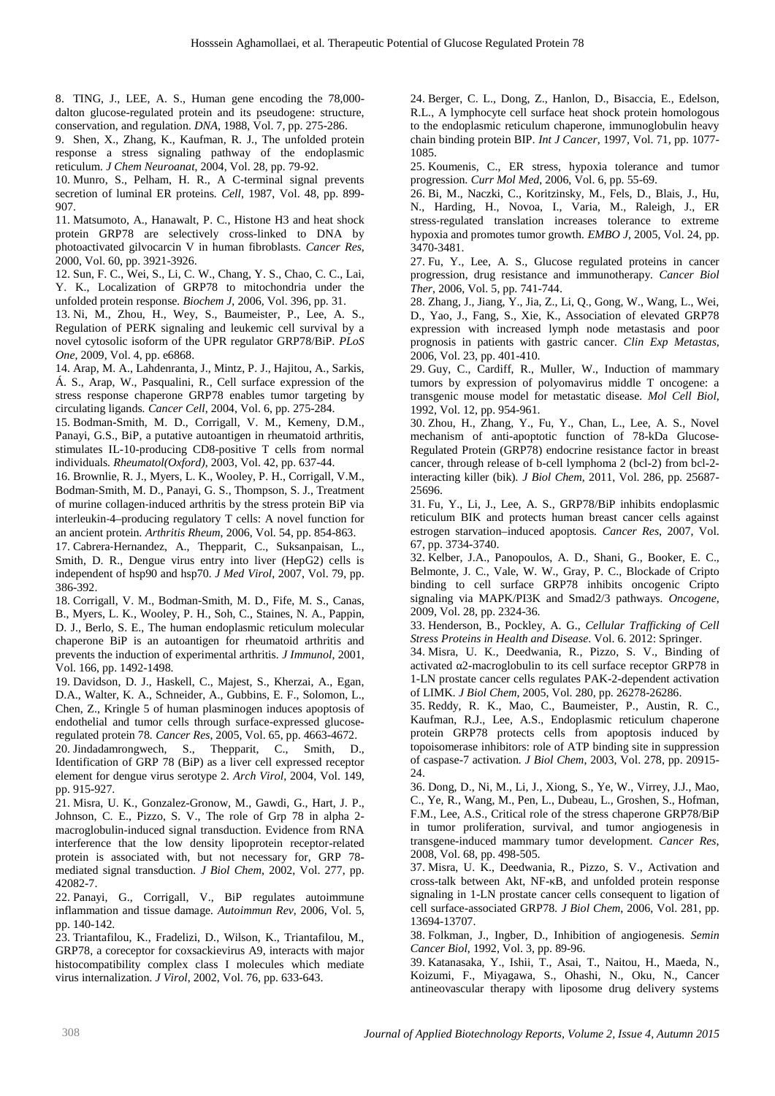8. TING, J., LEE, A. S., Human gene encoding the 78,000 dalton glucose-regulated protein and its pseudogene: structure, conservation, and regulation*. DNA*, 1988, Vol. 7, pp. 275-286.

9. Shen, X., Zhang, K., Kaufman, R. J., The unfolded protein response a stress signaling pathway of the endoplasmic reticulum*. J Chem Neuroanat*, 2004, Vol. 28, pp. 79-92.

10. Munro, S., Pelham, H. R., A C-terminal signal prevents secretion of luminal ER proteins*. Cell*, 1987, Vol. 48, pp. 899- 907.

11. Matsumoto, A., Hanawalt, P. C., Histone H3 and heat shock protein GRP78 are selectively cross-linked to DNA by photoactivated gilvocarcin V in human fibroblasts*. Cancer Res*, 2000, Vol. 60, pp. 3921-3926.

12. Sun, F. C., Wei, S., Li, C. W., Chang, Y. S., Chao, C. C., Lai, Y. K., Localization of GRP78 to mitochondria under the unfolded protein response*. Biochem J*, 2006, Vol. 396, pp. 31.

13. Ni, M., Zhou, H., Wey, S., Baumeister, P., Lee, A. S., Regulation of PERK signaling and leukemic cell survival by a novel cytosolic isoform of the UPR regulator GRP78/BiP*. PLoS One*, 2009, Vol. 4, pp. e6868.

14. Arap, M. A., Lahdenranta, J., Mintz, P. J., Hajitou, A., Sarkis, Á. S., Arap, W., Pasqualini, R., Cell surface expression of the stress response chaperone GRP78 enables tumor targeting by circulating ligands*. Cancer Cell*, 2004, Vol. 6, pp. 275-284.

15. Bodman-Smith, M. D., Corrigall, V. M., Kemeny, D.M., Panayi, G.S., BiP, a putative autoantigen in rheumatoid arthritis, stimulates IL-10-producing CD8-positive T cells from normal individuals*. Rheumatol(Oxford)*, 2003, Vol. 42, pp. 637-44.

16. Brownlie, R. J., Myers, L. K., Wooley, P. H., Corrigall, V.M., Bodman‐Smith, M. D., Panayi, G. S., Thompson, S. J., Treatment of murine collagen‐induced arthritis by the stress protein BiP via interleukin‐4–producing regulatory T cells: A novel function for an ancient protein*. Arthritis Rheum*, 2006, Vol. 54, pp. 854-863.

17. Cabrera‐Hernandez, A., Thepparit, C., Suksanpaisan, L., Smith, D. R., Dengue virus entry into liver (HepG2) cells is independent of hsp90 and hsp70*. J Med Virol*, 2007, Vol. 79, pp. 386-392.

18. Corrigall, V. M., Bodman-Smith, M. D., Fife, M. S., Canas, B., Myers, L. K., Wooley, P. H., Soh, C., Staines, N. A., Pappin, D. J., Berlo, S. E., The human endoplasmic reticulum molecular chaperone BiP is an autoantigen for rheumatoid arthritis and prevents the induction of experimental arthritis*. J Immunol*, 2001, Vol. 166, pp. 1492-1498.

19. Davidson, D. J., Haskell, C., Majest, S., Kherzai, A., Egan, D.A., Walter, K. A., Schneider, A., Gubbins, E. F., Solomon, L., Chen, Z., Kringle 5 of human plasminogen induces apoptosis of endothelial and tumor cells through surface-expressed glucoseregulated protein 78*. Cancer Res*, 2005, Vol. 65, pp. 4663-4672.

20. Jindadamrongwech, S., Thepparit, C., Smith, D., Identification of GRP 78 (BiP) as a liver cell expressed receptor element for dengue virus serotype 2*. Arch Virol*, 2004, Vol. 149, pp. 915-927.

21. Misra, U. K., Gonzalez-Gronow, M., Gawdi, G., Hart, J. P., Johnson, C. E., Pizzo, S. V., The role of Grp 78 in alpha 2 macroglobulin-induced signal transduction. Evidence from RNA interference that the low density lipoprotein receptor-related protein is associated with, but not necessary for, GRP 78 mediated signal transduction*. J Biol Chem*, 2002, Vol. 277, pp. 42082-7.

22. Panayi, G., Corrigall, V., BiP regulates autoimmune inflammation and tissue damage*. Autoimmun Rev*, 2006, Vol. 5, pp. 140-142.

23. Triantafilou, K., Fradelizi, D., Wilson, K., Triantafilou, M., GRP78, a coreceptor for coxsackievirus A9, interacts with major histocompatibility complex class I molecules which mediate virus internalization*. J Virol*, 2002, Vol. 76, pp. 633-643.

24. Berger, C. L., Dong, Z., Hanlon, D., Bisaccia, E., Edelson, R.L., A lymphocyte cell surface heat shock protein homologous to the endoplasmic reticulum chaperone, immunoglobulin heavy chain binding protein BIP*. Int J Cancer*, 1997, Vol. 71, pp. 1077- 1085.

25. Koumenis, C., ER stress, hypoxia tolerance and tumor progression*. Curr Mol Med*, 2006, Vol. 6, pp. 55-69.

26. Bi, M., Naczki, C., Koritzinsky, M., Fels, D., Blais, J., Hu, N., Harding, H., Novoa, I., Varia, M., Raleigh, J., ER stress‐regulated translation increases tolerance to extreme hypoxia and promotes tumor growth*. EMBO J*, 2005, Vol. 24, pp. 3470-3481.

27. Fu, Y., Lee, A. S., Glucose regulated proteins in cancer progression, drug resistance and immunotherapy*. Cancer Biol Ther*, 2006, Vol. 5, pp. 741-744.

28. Zhang, J., Jiang, Y., Jia, Z., Li, Q., Gong, W., Wang, L., Wei, D., Yao, J., Fang, S., Xie, K., Association of elevated GRP78 expression with increased lymph node metastasis and poor prognosis in patients with gastric cancer*. Clin Exp Metastas*, 2006, Vol. 23, pp. 401-410.

29. Guy, C., Cardiff, R., Muller, W., Induction of mammary tumors by expression of polyomavirus middle T oncogene: a transgenic mouse model for metastatic disease*. Mol Cell Biol*, 1992, Vol. 12, pp. 954-961.

30. Zhou, H., Zhang, Y., Fu, Y., Chan, L., Lee, A. S., Novel mechanism of anti-apoptotic function of 78-kDa Glucose- Regulated Protein (GRP78) endocrine resistance factor in breast cancer, through release of b-cell lymphoma 2 (bcl-2) from bcl-2 interacting killer (bik)*. J Biol Chem*, 2011, Vol. 286, pp. 25687- 25696.

31. Fu, Y., Li, J., Lee, A. S., GRP78/BiP inhibits endoplasmic reticulum BIK and protects human breast cancer cells against estrogen starvation–induced apoptosis*. Cancer Res*, 2007, Vol. 67, pp. 3734-3740.

32. Kelber, J.A., Panopoulos, A. D., Shani, G., Booker, E. C., Belmonte, J. C., Vale, W. W., Gray, P. C., Blockade of Cripto binding to cell surface GRP78 inhibits oncogenic Cripto signaling via MAPK/PI3K and Smad2/3 pathways*. Oncogene*, 2009, Vol. 28, pp. 2324-36.

33. Henderson, B., Pockley, A. G., *Cellular Trafficking of Cell Stress Proteins in Health and Disease*. Vol. 6. 2012: Springer.

34. Misra, U. K., Deedwania, R., Pizzo, S. V., Binding of activated 2-macroglobulin to its cell surface receptor GRP78 in 1-LN prostate cancer cells regulates PAK-2-dependent activation of LIMK*. J Biol Chem*, 2005, Vol. 280, pp. 26278-26286.

35. Reddy, R. K., Mao, C., Baumeister, P., Austin, R. C., Kaufman, R.J., Lee, A.S., Endoplasmic reticulum chaperone protein GRP78 protects cells from apoptosis induced by topoisomerase inhibitors: role of ATP binding site in suppression of caspase-7 activation*. J Biol Chem*, 2003, Vol. 278, pp. 20915- 24.

36. Dong, D., Ni, M., Li, J., Xiong, S., Ye, W., Virrey, J.J., Mao, C., Ye, R., Wang, M., Pen, L., Dubeau, L., Groshen, S., Hofman, F.M., Lee, A.S., Critical role of the stress chaperone GRP78/BiP in tumor proliferation, survival, and tumor angiogenesis in transgene-induced mammary tumor development*. Cancer Res*, 2008, Vol. 68, pp. 498-505.

37. Misra, U. K., Deedwania, R., Pizzo, S. V., Activation and cross-talk between Akt, NF-B, and unfolded protein response signaling in 1-LN prostate cancer cells consequent to ligation of cell surface-associated GRP78*. J Biol Chem*, 2006, Vol. 281, pp. 13694-13707.

38. Folkman, J., Ingber, D., Inhibition of angiogenesis*. Semin Cancer Biol*, 1992, Vol. 3, pp. 89-96.

39. Katanasaka, Y., Ishii, T., Asai, T., Naitou, H., Maeda, N., Koizumi, F., Miyagawa, S., Ohashi, N., Oku, N., Cancer antineovascular therapy with liposome drug delivery systems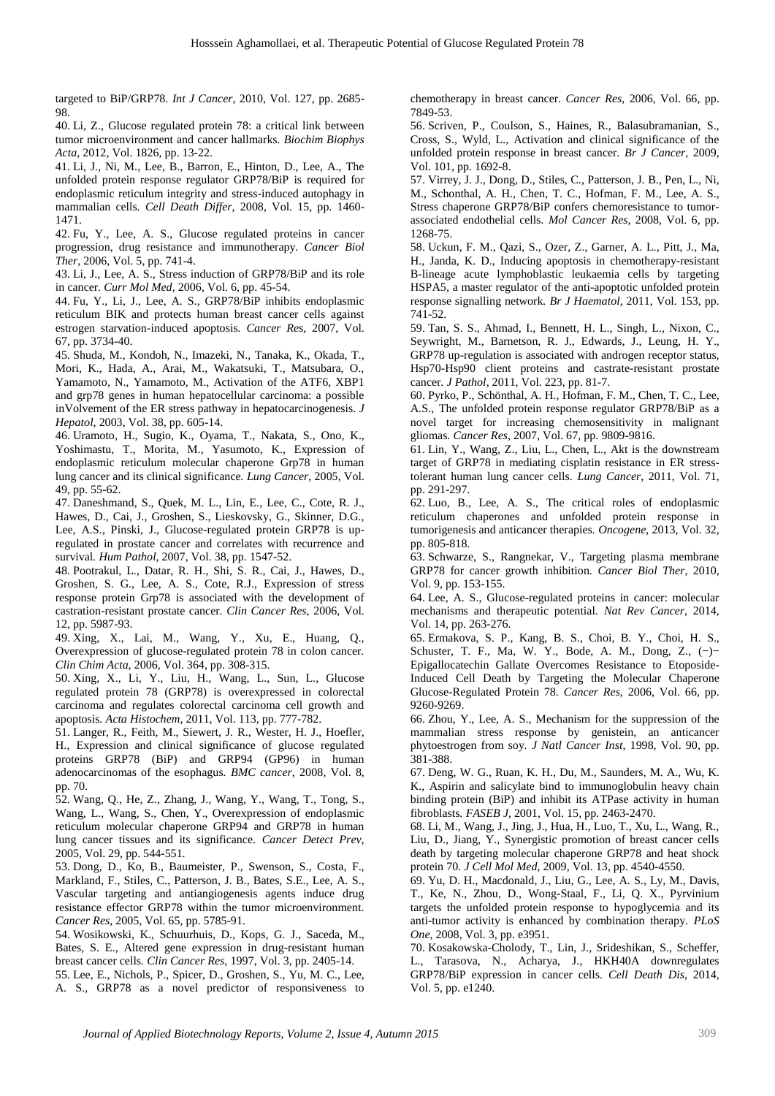targeted to BiP/GRP78*. Int J Cancer*, 2010, Vol. 127, pp. 2685- 98.

40. Li, Z., Glucose regulated protein 78: a critical link between tumor microenvironment and cancer hallmarks*. Biochim Biophys Acta*, 2012, Vol. 1826, pp. 13-22.

41. Li, J., Ni, M., Lee, B., Barron, E., Hinton, D., Lee, A., The unfolded protein response regulator GRP78/BiP is required for endoplasmic reticulum integrity and stress-induced autophagy in mammalian cells*. Cell Death Differ*, 2008, Vol. 15, pp. 1460- 1471.

42. Fu, Y., Lee, A. S., Glucose regulated proteins in cancer progression, drug resistance and immunotherapy*. Cancer Biol Ther*, 2006, Vol. 5, pp. 741-4.

43. Li, J., Lee, A. S., Stress induction of GRP78/BiP and its role in cancer*. Curr Mol Med*, 2006, Vol. 6, pp. 45-54.

44. Fu, Y., Li, J., Lee, A. S., GRP78/BiP inhibits endoplasmic reticulum BIK and protects human breast cancer cells against estrogen starvation-induced apoptosis*. Cancer Res*, 2007, Vol. 67, pp. 3734-40.

45. Shuda, M., Kondoh, N., Imazeki, N., Tanaka, K., Okada, T., Mori, K., Hada, A., Arai, M., Wakatsuki, T., Matsubara, O., Yamamoto, N., Yamamoto, M., Activation of the ATF6, XBP1 and grp78 genes in human hepatocellular carcinoma: a possible inVolvement of the ER stress pathway in hepatocarcinogenesis*. J Hepatol*, 2003, Vol. 38, pp. 605-14.

46. Uramoto, H., Sugio, K., Oyama, T., Nakata, S., Ono, K., Yoshimastu, T., Morita, M., Yasumoto, K., Expression of endoplasmic reticulum molecular chaperone Grp78 in human lung cancer and its clinical significance*. Lung Cancer*, 2005, Vol. 49, pp. 55-62.

47. Daneshmand, S., Quek, M. L., Lin, E., Lee, C., Cote, R. J., Hawes, D., Cai, J., Groshen, S., Lieskovsky, G., Skinner, D.G., Lee, A.S., Pinski, J., Glucose-regulated protein GRP78 is upregulated in prostate cancer and correlates with recurrence and survival*. Hum Pathol*, 2007, Vol. 38, pp. 1547-52.

48. Pootrakul, L., Datar, R. H., Shi, S. R., Cai, J., Hawes, D., Groshen, S. G., Lee, A. S., Cote, R.J., Expression of stress response protein Grp78 is associated with the development of castration-resistant prostate cancer*. Clin Cancer Res*, 2006, Vol. 12, pp. 5987-93.

49. Xing, X., Lai, M., Wang, Y., Xu, E., Huang, Q., Overexpression of glucose-regulated protein 78 in colon cancer*. Clin Chim Acta*, 2006, Vol. 364, pp. 308-315.

50. Xing, X., Li, Y., Liu, H., Wang, L., Sun, L., Glucose regulated protein 78 (GRP78) is overexpressed in colorectal carcinoma and regulates colorectal carcinoma cell growth and apoptosis*. Acta Histochem*, 2011, Vol. 113, pp. 777-782.

51. Langer, R., Feith, M., Siewert, J. R., Wester, H. J., Hoefler, H., Expression and clinical significance of glucose regulated proteins GRP78 (BiP) and GRP94 (GP96) in human adenocarcinomas of the esophagus*. BMC cancer*, 2008, Vol. 8, pp. 70.

52. Wang, Q., He, Z., Zhang, J., Wang, Y., Wang, T., Tong, S., Wang, L., Wang, S., Chen, Y., Overexpression of endoplasmic reticulum molecular chaperone GRP94 and GRP78 in human lung cancer tissues and its significance*. Cancer Detect Prev*, 2005, Vol. 29, pp. 544-551.

53. Dong, D., Ko, B., Baumeister, P., Swenson, S., Costa, F., Markland, F., Stiles, C., Patterson, J. B., Bates, S.E., Lee, A. S., Vascular targeting and antiangiogenesis agents induce drug resistance effector GRP78 within the tumor microenvironment*. Cancer Res*, 2005, Vol. 65, pp. 5785-91.

54. Wosikowski, K., Schuurhuis, D., Kops, G. J., Saceda, M., Bates, S. E., Altered gene expression in drug-resistant human breast cancer cells*. Clin Cancer Res*, 1997, Vol. 3, pp. 2405-14.

55. Lee, E., Nichols, P., Spicer, D., Groshen, S., Yu, M. C., Lee, A. S., GRP78 as a novel predictor of responsiveness to chemotherapy in breast cancer*. Cancer Res*, 2006, Vol. 66, pp. 7849-53.

56. Scriven, P., Coulson, S., Haines, R., Balasubramanian, S., Cross, S., Wyld, L., Activation and clinical significance of the unfolded protein response in breast cancer*. Br J Cancer*, 2009, Vol. 101, pp. 1692-8.

57. Virrey, J. J., Dong, D., Stiles, C., Patterson, J. B., Pen, L., Ni, M., Schonthal, A. H., Chen, T. C., Hofman, F. M., Lee, A. S., Stress chaperone GRP78/BiP confers chemoresistance to tumor associated endothelial cells*. Mol Cancer Res*, 2008, Vol. 6, pp. 1268-75.

58. Uckun, F. M., Qazi, S., Ozer, Z., Garner, A. L., Pitt, J., Ma, H., Janda, K. D., Inducing apoptosis in chemotherapy-resistant B-lineage acute lymphoblastic leukaemia cells by targeting HSPA5, a master regulator of the anti-apoptotic unfolded protein response signalling network*. Br J Haematol*, 2011, Vol. 153, pp. 741-52.

59. Tan, S. S., Ahmad, I., Bennett, H. L., Singh, L., Nixon, C., Seywright, M., Barnetson, R. J., Edwards, J., Leung, H. Y., GRP78 up-regulation is associated with androgen receptor status, Hsp70-Hsp90 client proteins and castrate-resistant prostate cancer*. J Pathol*, 2011, Vol. 223, pp. 81-7.

60. Pyrko, P., Schönthal, A. H., Hofman, F. M., Chen, T. C., Lee, A.S., The unfolded protein response regulator GRP78/BiP as a novel target for increasing chemosensitivity in malignant gliomas*. Cancer Res*, 2007, Vol. 67, pp. 9809-9816.

61. Lin, Y., Wang, Z., Liu, L., Chen, L., Akt is the downstream target of GRP78 in mediating cisplatin resistance in ER stresstolerant human lung cancer cells*. Lung Cancer*, 2011, Vol. 71, pp. 291-297.

62. Luo, B., Lee, A. S., The critical roles of endoplasmic reticulum chaperones and unfolded protein response in tumorigenesis and anticancer therapies*. Oncogene*, 2013, Vol. 32, pp. 805-818.

63. Schwarze, S., Rangnekar, V., Targeting plasma membrane GRP78 for cancer growth inhibition*. Cancer Biol Ther*, 2010, Vol. 9, pp. 153-155.

64. Lee, A. S., Glucose-regulated proteins in cancer: molecular mechanisms and therapeutic potential*. Nat Rev Cancer*, 2014, Vol. 14, pp. 263-276.

65. Ermakova, S. P., Kang, B. S., Choi, B. Y., Choi, H. S., Schuster, T. F., Ma, W. Y., Bode, A. M., Dong, Z., (−)− Epigallocatechin Gallate Overcomes Resistance to Etoposide-Induced Cell Death by Targeting the Molecular Chaperone Glucose-Regulated Protein 78*. Cancer Res*, 2006, Vol. 66, pp. 9260-9269.

66. Zhou, Y., Lee, A. S., Mechanism for the suppression of the mammalian stress response by genistein, an anticancer phytoestrogen from soy*. J Natl Cancer Inst*, 1998, Vol. 90, pp. 381-388.

67. Deng, W. G., Ruan, K. H., Du, M., Saunders, M. A., Wu, K. K., Aspirin and salicylate bind to immunoglobulin heavy chain binding protein (BiP) and inhibit its ATPase activity in human fibroblasts*. FASEB J*, 2001, Vol. 15, pp. 2463-2470.

68. Li, M., Wang, J., Jing, J., Hua, H., Luo, T., Xu, L., Wang, R., Liu, D., Jiang, Y., Synergistic promotion of breast cancer cells death by targeting molecular chaperone GRP78 and heat shock protein 70*. J Cell Mol Med*, 2009, Vol. 13, pp. 4540-4550.

69. Yu, D. H., Macdonald, J., Liu, G., Lee, A. S., Ly, M., Davis, T., Ke, N., Zhou, D., Wong-Staal, F., Li, Q. X., Pyrvinium targets the unfolded protein response to hypoglycemia and its anti-tumor activity is enhanced by combination therapy*. PLoS One*, 2008, Vol. 3, pp. e3951.

70. Kosakowska-Cholody, T., Lin, J., Srideshikan, S., Scheffer, L., Tarasova, N., Acharya, J., HKH40A downregulates GRP78/BiP expression in cancer cells*. Cell Death Dis*, 2014, Vol. 5, pp. e1240.